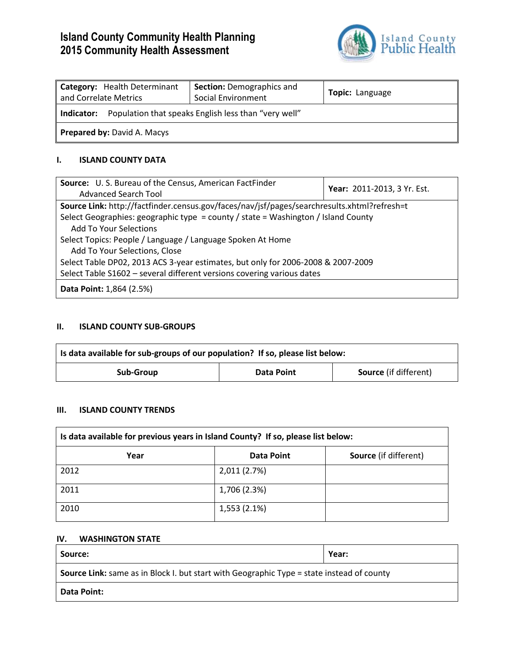# **Island County Community Health Planning 2015 Community Health Assessment**



| Category: Health Determinant<br>and Correlate Metrics              | <b>Section: Demographics and</b><br>Social Environment | Topic: Language |  |
|--------------------------------------------------------------------|--------------------------------------------------------|-----------------|--|
| Population that speaks English less than "very well"<br>Indicator: |                                                        |                 |  |
| <b>Prepared by: David A. Macys</b>                                 |                                                        |                 |  |

# **I. ISLAND COUNTY DATA**

| Source: U.S. Bureau of the Census, American FactFinder                                      | Year: 2011-2013, 3 Yr. Est. |  |  |
|---------------------------------------------------------------------------------------------|-----------------------------|--|--|
| <b>Advanced Search Tool</b>                                                                 |                             |  |  |
| Source Link: http://factfinder.census.gov/faces/nav/jsf/pages/searchresults.xhtml?refresh=t |                             |  |  |
| Select Geographies: geographic type = county / state = Washington / Island County           |                             |  |  |
| Add To Your Selections                                                                      |                             |  |  |
| Select Topics: People / Language / Language Spoken At Home                                  |                             |  |  |
| Add To Your Selections, Close                                                               |                             |  |  |
| Select Table DP02, 2013 ACS 3-year estimates, but only for 2006-2008 & 2007-2009            |                             |  |  |
| Select Table S1602 - several different versions covering various dates                      |                             |  |  |
| <b>Data Point: 1,864 (2.5%)</b>                                                             |                             |  |  |

# **II. ISLAND COUNTY SUB-GROUPS**

| Is data available for sub-groups of our population? If so, please list below: |            |                              |  |
|-------------------------------------------------------------------------------|------------|------------------------------|--|
| Sub-Group                                                                     | Data Point | <b>Source</b> (if different) |  |

## **III. ISLAND COUNTY TRENDS**

| Is data available for previous years in Island County? If so, please list below: |              |                              |  |
|----------------------------------------------------------------------------------|--------------|------------------------------|--|
| Year                                                                             | Data Point   | <b>Source</b> (if different) |  |
| 2012                                                                             | 2,011 (2.7%) |                              |  |
| 2011                                                                             | 1,706 (2.3%) |                              |  |
| 2010                                                                             | 1,553 (2.1%) |                              |  |

#### **IV. WASHINGTON STATE**

| Source:                                                                                          | Year: |  |
|--------------------------------------------------------------------------------------------------|-------|--|
| <b>Source Link:</b> same as in Block I. but start with Geographic Type = state instead of county |       |  |
| <b>Data Point:</b>                                                                               |       |  |